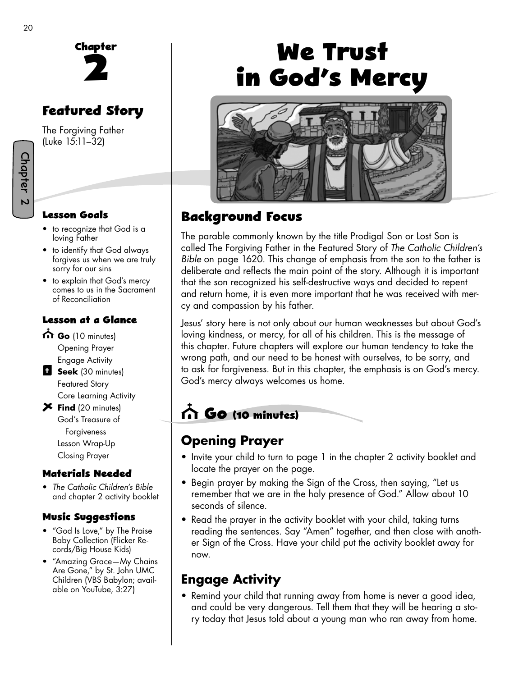

# **Featured Story**

The Forgiving Father (Luke 15:11–32)

#### **Lesson Goals**

- to recognize that God is a loving Father
- to identify that God always forgives us when we are truly sorry for our sins
- to explain that God's mercy comes to us in the Sacrament of Reconciliation

#### **Lesson at a Glance**

- Go (10 minutes) Opening Prayer Engage Activity
- **B** Seek (30 minutes) Featured Story Core Learning Activity
- **Find** (20 minutes) God's Treasure of Forgiveness Lesson Wrap-Up Closing Prayer

#### **Materials Needed**

• *The Catholic Children's Bible*  and chapter 2 activity booklet

#### **Music Su�gestions**

- "God Is Love," by The Praise Baby Collection (Flicker Records/Big House Kids)
- "Amazing Grace—My Chains Are Gone," by St. John UMC Children (VBS Babylon; available on YouTube, 3:27)

# **We Trust in God's Mercy**



# **Background Focus**

The parable commonly known by the title Prodigal Son or Lost Son is called The Forgiving Father in the Featured Story of *The Catholic Children's Bible* on page 1620. This change of emphasis from the son to the father is deliberate and reflects the main point of the story. Although it is important that the son recognized his self-destructive ways and decided to repent and return home, it is even more important that he was received with mercy and compassion by his father.

Jesus' story here is not only about our human weaknesses but about God's loving kindness, or mercy, for all of his children. This is the message of this chapter. Future chapters will explore our human tendency to take the wrong path, and our need to be honest with ourselves, to be sorry, and to ask for forgiveness. But in this chapter, the emphasis is on God's mercy. God's mercy always welcomes us home.

# **Go (10 minutes)**

# **Opening Prayer**

- Invite your child to turn to page 1 in the chapter 2 activity booklet and locate the prayer on the page.
- Begin prayer by making the Sign of the Cross, then saying, "Let us remember that we are in the holy presence of God." Allow about 10 seconds of silence.
- Read the prayer in the activity booklet with your child, taking turns reading the sentences. Say "Amen" together, and then close with another Sign of the Cross. Have your child put the activity booklet away for now.

# **Engage Activity**

• Remind your child that running away from home is never a good idea, and could be very dangerous. Tell them that they will be hearing a story today that Jesus told about a young man who ran away from home.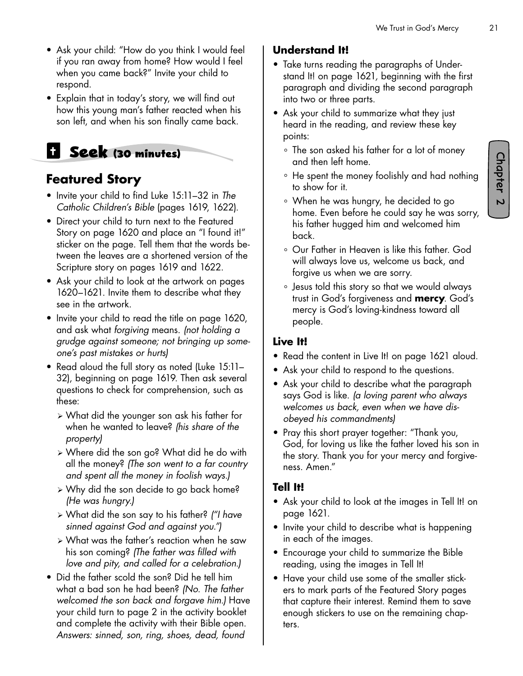- Ask your child: "How do you think I would feel if you ran away from home? How would I feel when you came back?" Invite your child to respond.
- Explain that in today's story, we will find out how this young man's father reacted when his son left, and when his son finally came back.

# **Seek (30 minutes)**

### **Featured Story**

- Invite your child to find Luke 15:11–32 in *The Catholic Children's Bible* (pages 1619, 1622).
- Direct your child to turn next to the Featured Story on page 1620 and place an "I found it!" sticker on the page. Tell them that the words between the leaves are a shortened version of the Scripture story on pages 1619 and 1622.
- Ask your child to look at the artwork on pages 1620–1621. Invite them to describe what they see in the artwork.
- Invite your child to read the title on page 1620, and ask what *forgiving* means. *(not holding a grudge against someone; not bringing up someone's past mistakes or hurts)*
- Read aloud the full story as noted (Luke 15:11– 32), beginning on page 1619. Then ask several questions to check for comprehension, such as these:
	- ¾ What did the younger son ask his father for when he wanted to leave? *(his share of the property)*
	- ¾ Where did the son go? What did he do with all the money? *(The son went to a far country and spent all the money in foolish ways.)*
	- ¾ Why did the son decide to go back home? *(He was hungry.)*
	- ¾ What did the son say to his father? *("I have sinned against God and against you.")*
	- $\triangleright$  What was the father's reaction when he saw his son coming? *(The father was filled with love and pity, and called for a celebration.)*
- Did the father scold the son? Did he tell him what a bad son he had been? *(No. The father welcomed the son back and forgave him.)* Have your child turn to page 2 in the activity booklet and complete the activity with their Bible open. *Answers: sinned, son, ring, shoes, dead, found*

#### **Understand It!**

- Take turns reading the paragraphs of Understand It! on page 1621*,* beginning with the first paragraph and dividing the second paragraph into two or three parts.
- Ask your child to summarize what they just heard in the reading, and review these key points:
	- ° The son asked his father for a lot of money and then left home.
	- ° He spent the money foolishly and had nothing to show for it.
	- ° When he was hungry, he decided to go home. Even before he could say he was sorry, his father hugged him and welcomed him back.
	- ° Our Father in Heaven is like this father. God will always love us, welcome us back, and forgive us when we are sorry.
	- ° Jesus told this story so that we would always trust in God's forgiveness and **mercy**. God's mercy is God's loving-kindness toward all people.

#### **Live It!**

- Read the content in Live It! on page 1621 aloud.
- Ask your child to respond to the questions.
- Ask your child to describe what the paragraph says God is like. *(a loving parent who always welcomes us back, even when we have disobeyed his commandments)*
- Pray this short prayer together: "Thank you, God, for loving us like the father loved his son in the story. Thank you for your mercy and forgiveness. Amen."

#### **Tell It!**

- Ask your child to look at the images in Tell It! on page 1621.
- Invite your child to describe what is happening in each of the images.
- Encourage your child to summarize the Bible reading, using the images in Tell It!
- Have your child use some of the smaller stickers to mark parts of the Featured Story pages that capture their interest. Remind them to save enough stickers to use on the remaining chapters.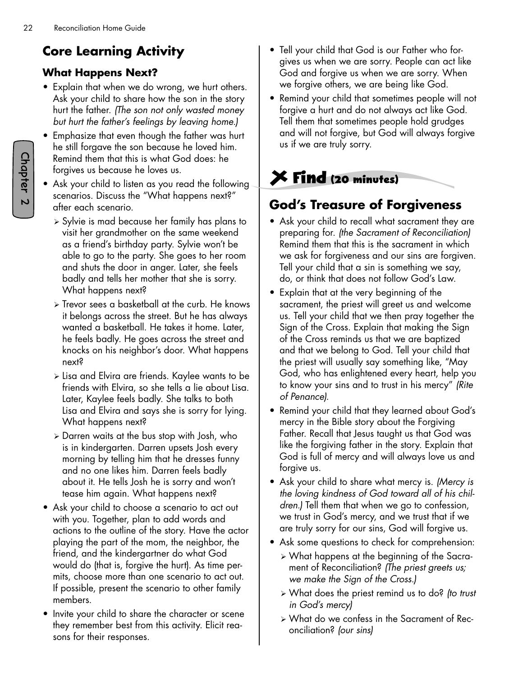# **Core Learning Activity**

#### **What Happens Next?**

- Explain that when we do wrong, we hurt others. Ask your child to share how the son in the story hurt the father. *(The son not only wasted money but hurt the father's feelings by leaving home.)*
- Emphasize that even though the father was hurt he still forgave the son because he loved him. Remind them that this is what God does: he forgives us because he loves us.
- Ask your child to listen as you read the following scenarios. Discuss the "What happens next?" after each scenario.
	- ¾ Sylvie is mad because her family has plans to visit her grandmother on the same weekend as a friend's birthday party. Sylvie won't be able to go to the party. She goes to her room and shuts the door in anger. Later, she feels badly and tells her mother that she is sorry. What happens next?
	- ¾ Trevor sees a basketball at the curb. He knows it belongs across the street. But he has always wanted a basketball. He takes it home. Later, he feels badly. He goes across the street and knocks on his neighbor's door. What happens next?
	- ¾ Lisa and Elvira are friends. Kaylee wants to be friends with Elvira, so she tells a lie about Lisa. Later, Kaylee feels badly. She talks to both Lisa and Elvira and says she is sorry for lying. What happens next?
	- ¾ Darren waits at the bus stop with Josh, who is in kindergarten. Darren upsets Josh every morning by telling him that he dresses funny and no one likes him. Darren feels badly about it. He tells Josh he is sorry and won't tease him again. What happens next?
- Ask your child to choose a scenario to act out with you. Together, plan to add words and actions to the outline of the story. Have the actor playing the part of the mom, the neighbor, the friend, and the kindergartner do what God would do (that is, forgive the hurt). As time permits, choose more than one scenario to act out. If possible, present the scenario to other family members.
- Invite your child to share the character or scene they remember best from this activity. Elicit reasons for their responses.
- Tell your child that God is our Father who forgives us when we are sorry. People can act like God and forgive us when we are sorry. When we forgive others, we are being like God.
- Remind your child that sometimes people will not forgive a hurt and do not always act like God. Tell them that sometimes people hold grudges and will not forgive, but God will always forgive us if we are truly sorry.

# **Find (20 minutes)**

# **God's Treasure of Forgiveness**

- Ask your child to recall what sacrament they are preparing for. *(the Sacrament of Reconciliation)* Remind them that this is the sacrament in which we ask for forgiveness and our sins are forgiven. Tell your child that a sin is something we say, do, or think that does not follow God's Law.
- Explain that at the very beginning of the sacrament, the priest will greet us and welcome us. Tell your child that we then pray together the Sign of the Cross. Explain that making the Sign of the Cross reminds us that we are baptized and that we belong to God. Tell your child that the priest will usually say something like, "May God, who has enlightened every heart, help you to know your sins and to trust in his mercy" *(Rite of Penance).*
- Remind your child that they learned about God's mercy in the Bible story about the Forgiving Father. Recall that Jesus taught us that God was like the forgiving father in the story. Explain that God is full of mercy and will always love us and forgive us.
- Ask your child to share what mercy is. *(Mercy is the loving kindness of God toward all of his children.)* Tell them that when we go to confession, we trust in God's mercy, and we trust that if we are truly sorry for our sins, God will forgive us.
- Ask some questions to check for comprehension:
	- ¾ What happens at the beginning of the Sacrament of Reconciliation? *(The priest greets us; we make the Sign of the Cross.)*
	- ¾ What does the priest remind us to do? *(to trust in God's mercy)*
	- ¾ What do we confess in the Sacrament of Reconciliation? *(our sins)*